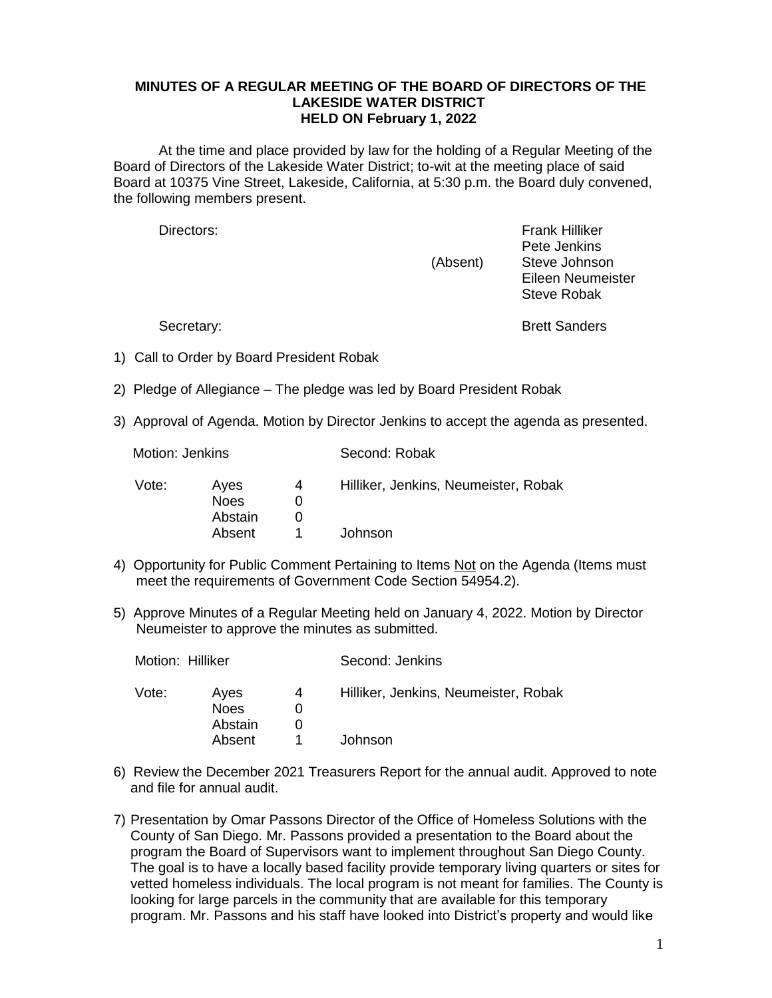## **MINUTES OF A REGULAR MEETING OF THE BOARD OF DIRECTORS OF THE LAKESIDE WATER DISTRICT HELD ON February 1, 2022**

At the time and place provided by law for the holding of a Regular Meeting of the Board of Directors of the Lakeside Water District; to-wit at the meeting place of said Board at 10375 Vine Street, Lakeside, California, at 5:30 p.m. the Board duly convened, the following members present.

Directors: Frank Hilliker Pete Jenkins (Absent) Steve Johnson Eileen Neumeister Steve Robak

Secretary: Secretary: **Brett Sanders** 

1) Call to Order by Board President Robak

Motion: Jenkins Second: Robak

- 2) Pledge of Allegiance The pledge was led by Board President Robak
- 3) Approval of Agenda. Motion by Director Jenkins to accept the agenda as presented.

| Vote: | Ayes<br><b>Noes</b> | 4 | Hilliker, Jenkins, Neumeister, Robak |  |
|-------|---------------------|---|--------------------------------------|--|
|       | Abstain             |   |                                      |  |
|       |                     |   |                                      |  |
|       | Absent              |   | Johnson                              |  |

- 4) Opportunity for Public Comment Pertaining to Items Not on the Agenda (Items must meet the requirements of Government Code Section 54954.2).
- 5) Approve Minutes of a Regular Meeting held on January 4, 2022. Motion by Director Neumeister to approve the minutes as submitted.

| Motion: Hilliker |                                |   | Second: Jenkins                      |
|------------------|--------------------------------|---|--------------------------------------|
| Vote:            | Aves<br><b>Noes</b><br>Abstain | 4 | Hilliker, Jenkins, Neumeister, Robak |
|                  | Absent                         |   | Johnson                              |
|                  |                                |   |                                      |

- 6) Review the December 2021 Treasurers Report for the annual audit. Approved to note and file for annual audit.
- 7) Presentation by Omar Passons Director of the Office of Homeless Solutions with the County of San Diego. Mr. Passons provided a presentation to the Board about the program the Board of Supervisors want to implement throughout San Diego County. The goal is to have a locally based facility provide temporary living quarters or sites for vetted homeless individuals. The local program is not meant for families. The County is looking for large parcels in the community that are available for this temporary program. Mr. Passons and his staff have looked into District's property and would like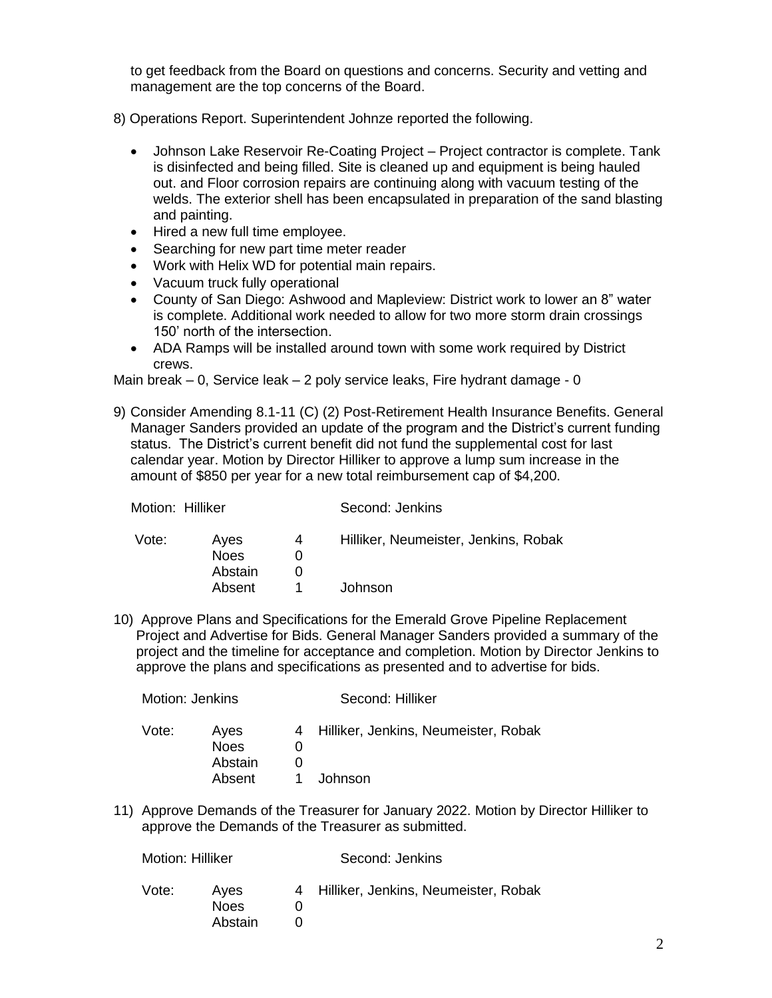to get feedback from the Board on questions and concerns. Security and vetting and management are the top concerns of the Board.

- 8) Operations Report. Superintendent Johnze reported the following.
	- Johnson Lake Reservoir Re-Coating Project Project contractor is complete. Tank is disinfected and being filled. Site is cleaned up and equipment is being hauled out. and Floor corrosion repairs are continuing along with vacuum testing of the welds. The exterior shell has been encapsulated in preparation of the sand blasting and painting.
	- Hired a new full time employee.
	- Searching for new part time meter reader
	- Work with Helix WD for potential main repairs.
	- Vacuum truck fully operational
	- County of San Diego: Ashwood and Mapleview: District work to lower an 8" water is complete. Additional work needed to allow for two more storm drain crossings 150' north of the intersection.
	- ADA Ramps will be installed around town with some work required by District crews.

Main break – 0, Service leak – 2 poly service leaks, Fire hydrant damage - 0

9) Consider Amending 8.1-11 (C) (2) Post-Retirement Health Insurance Benefits. General Manager Sanders provided an update of the program and the District's current funding status. The District's current benefit did not fund the supplemental cost for last calendar year. Motion by Director Hilliker to approve a lump sum increase in the amount of \$850 per year for a new total reimbursement cap of \$4,200.

| Motion: Hilliker |                                          |   | Second: Jenkins                                 |  |
|------------------|------------------------------------------|---|-------------------------------------------------|--|
| Vote:            | Ayes<br><b>Noes</b><br>Abstain<br>Absent | 4 | Hilliker, Neumeister, Jenkins, Robak<br>Johnson |  |
|                  |                                          |   |                                                 |  |

10) Approve Plans and Specifications for the Emerald Grove Pipeline Replacement Project and Advertise for Bids. General Manager Sanders provided a summary of the project and the timeline for acceptance and completion. Motion by Director Jenkins to approve the plans and specifications as presented and to advertise for bids.

| Motion: Jenkins |                                | Second: Hilliker |                                        |  |
|-----------------|--------------------------------|------------------|----------------------------------------|--|
| Vote:           | Aves<br><b>Noes</b><br>Abstain |                  | 4 Hilliker, Jenkins, Neumeister, Robak |  |
|                 | Absent                         |                  | Johnson                                |  |

11) Approve Demands of the Treasurer for January 2022. Motion by Director Hilliker to approve the Demands of the Treasurer as submitted.

| Motion: Hilliker |                         | Second: Jenkins |                                        |  |
|------------------|-------------------------|-----------------|----------------------------------------|--|
| Vote:            | Aves<br>Noes<br>Abstain |                 | 4 Hilliker, Jenkins, Neumeister, Robak |  |